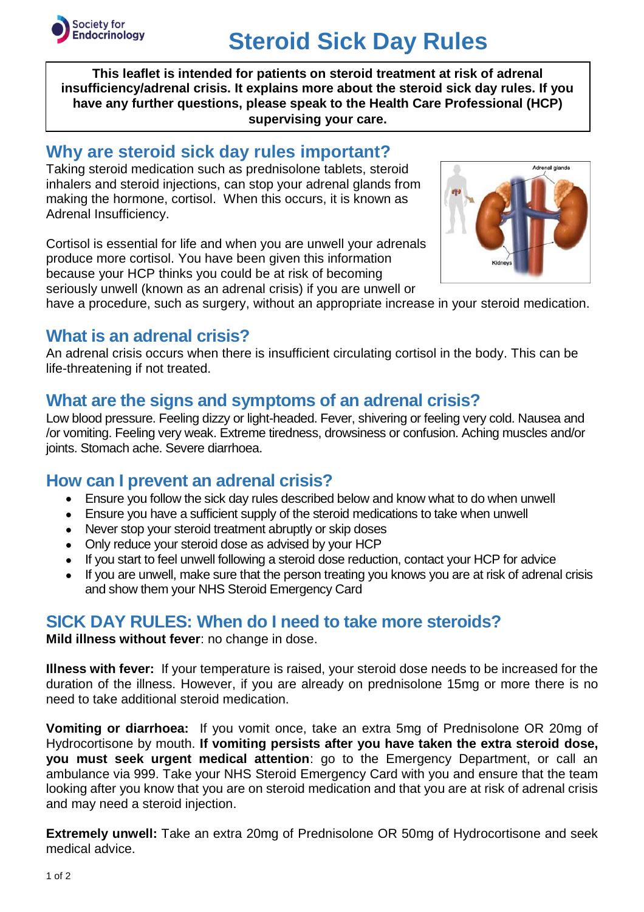

# **Steroid Sick Day Rules**

**This leaflet is intended for patients on steroid treatment at risk of adrenal insufficiency/adrenal crisis. It explains more about the steroid sick day rules. If you have any further questions, please speak to the Health Care Professional (HCP) supervising your care.**

#### **Why are steroid sick day rules important?**

Taking steroid medication such as prednisolone tablets, steroid inhalers and steroid injections, can stop your adrenal glands from making the hormone, cortisol. When this occurs, it is known as Adrenal Insufficiency.

Cortisol is essential for life and when you are unwell your adrenals produce more cortisol. You have been given this information because your HCP thinks you could be at risk of becoming seriously unwell (known as an adrenal crisis) if you are unwell or



have a procedure, such as surgery, without an appropriate increase in your steroid medication.

## **What is an adrenal crisis?**

An adrenal crisis occurs when there is insufficient circulating cortisol in the body. This can be life-threatening if not treated.

## **What are the signs and symptoms of an adrenal crisis?**

Low blood pressure. Feeling dizzy or light-headed. Fever, shivering or feeling very cold. Nausea and /or vomiting. Feeling very weak. Extreme tiredness, drowsiness or confusion. Aching muscles and/or joints. Stomach ache. Severe diarrhoea.

## **How can I prevent an adrenal crisis?**

- Ensure you follow the sick day rules described below and know what to do when unwell
- Ensure you have a sufficient supply of the steroid medications to take when unwell
- Never stop your steroid treatment abruptly or skip doses
- Only reduce your steroid dose as advised by your HCP
- If you start to feel unwell following a steroid dose reduction, contact your HCP for advice
- If you are unwell, make sure that the person treating you knows you are at risk of adrenal crisis and show them your NHS Steroid Emergency Card

## **SICK DAY RULES: When do I need to take more steroids?**

**Mild illness without fever**: no change in dose.

**Illness with fever:** If your temperature is raised, your steroid dose needs to be increased for the duration of the illness. However, if you are already on prednisolone 15mg or more there is no need to take additional steroid medication.

**Vomiting or diarrhoea:** If you vomit once, take an extra 5mg of Prednisolone OR 20mg of Hydrocortisone by mouth. **If vomiting persists after you have taken the extra steroid dose, you must seek urgent medical attention**: go to the Emergency Department, or call an ambulance via 999. Take your NHS Steroid Emergency Card with you and ensure that the team looking after you know that you are on steroid medication and that you are at risk of adrenal crisis and may need a steroid injection.

**Extremely unwell:** Take an extra 20mg of Prednisolone OR 50mg of Hydrocortisone and seek medical advice.